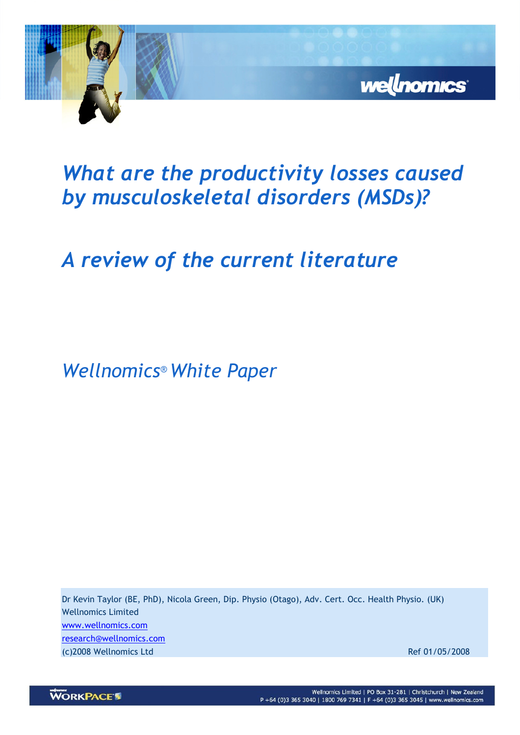

# What are the productivity losses caused by musculoskeletal disorders (MSDs)?

# A review of the current literature

Wellnomics® White Paper

Dr Kevin Taylor (BE, PhD), Nicola Green, Dip. Physio (Otago), Adv. Cert. Occ. Health Physio. (UK) Wellnomics Limited www.wellnomics.com research@wellnomics.com (c)2008 Wellnomics Ltd Ref 01/05/2008

**WORKPACE**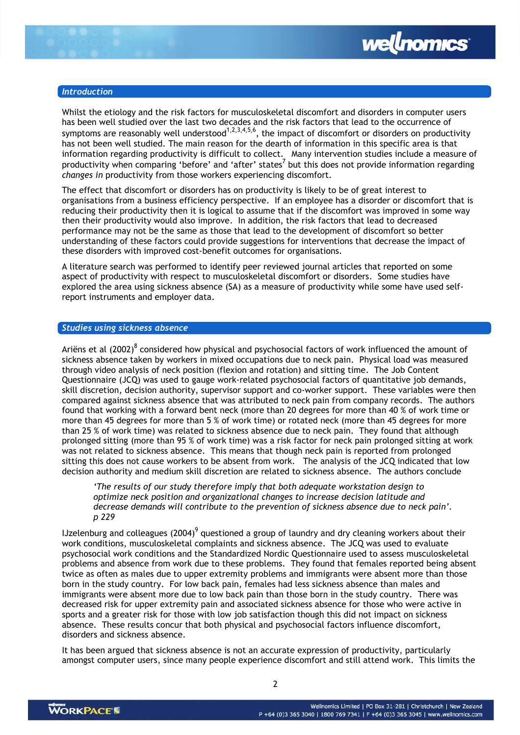

# **Introduction**

Whilst the etiology and the risk factors for musculoskeletal discomfort and disorders in computer users has been well studied over the last two decades and the risk factors that lead to the occurrence of symptoms are reasonably well understood $^{1,2,3,4,5,6}$ , the impact of discomfort or disorders on productivity has not been well studied. The main reason for the dearth of information in this specific area is that information regarding productivity is difficult to collect. Many intervention studies include a measure of productivity when comparing 'before' and 'after' states<sup>7</sup> but this does not provide information regarding changes in productivity from those workers experiencing discomfort.

The effect that discomfort or disorders has on productivity is likely to be of great interest to organisations from a business efficiency perspective. If an employee has a disorder or discomfort that is reducing their productivity then it is logical to assume that if the discomfort was improved in some way then their productivity would also improve. In addition, the risk factors that lead to decreased performance may not be the same as those that lead to the development of discomfort so better understanding of these factors could provide suggestions for interventions that decrease the impact of these disorders with improved cost-benefit outcomes for organisations.

A literature search was performed to identify peer reviewed journal articles that reported on some aspect of productivity with respect to musculoskeletal discomfort or disorders. Some studies have explored the area using sickness absence (SA) as a measure of productivity while some have used selfreport instruments and employer data.

### Studies using sickness absence

Ariëns et al (2002)<sup>8</sup> considered how physical and psychosocial factors of work influenced the amount of sickness absence taken by workers in mixed occupations due to neck pain. Physical load was measured through video analysis of neck position (flexion and rotation) and sitting time. The Job Content Questionnaire (JCQ) was used to gauge work-related psychosocial factors of quantitative job demands, skill discretion, decision authority, supervisor support and co-worker support. These variables were then compared against sickness absence that was attributed to neck pain from company records. The authors found that working with a forward bent neck (more than 20 degrees for more than 40 % of work time or more than 45 degrees for more than 5 % of work time) or rotated neck (more than 45 degrees for more than 25 % of work time) was related to sickness absence due to neck pain. They found that although prolonged sitting (more than 95 % of work time) was a risk factor for neck pain prolonged sitting at work was not related to sickness absence. This means that though neck pain is reported from prolonged sitting this does not cause workers to be absent from work. The analysis of the JCQ indicated that low decision authority and medium skill discretion are related to sickness absence. The authors conclude

'The results of our study therefore imply that both adequate workstation design to optimize neck position and organizational changes to increase decision latitude and decrease demands will contribute to the prevention of sickness absence due to neck pain'. p 229

IJzelenburg and colleagues (2004) $^9$  questioned a group of laundry and dry cleaning workers about their work conditions, musculoskeletal complaints and sickness absence. The JCQ was used to evaluate psychosocial work conditions and the Standardized Nordic Questionnaire used to assess musculoskeletal problems and absence from work due to these problems. They found that females reported being absent twice as often as males due to upper extremity problems and immigrants were absent more than those born in the study country. For low back pain, females had less sickness absence than males and immigrants were absent more due to low back pain than those born in the study country. There was decreased risk for upper extremity pain and associated sickness absence for those who were active in sports and a greater risk for those with low job satisfaction though this did not impact on sickness absence. These results concur that both physical and psychosocial factors influence discomfort, disorders and sickness absence.

It has been argued that sickness absence is not an accurate expression of productivity, particularly amongst computer users, since many people experience discomfort and still attend work. This limits the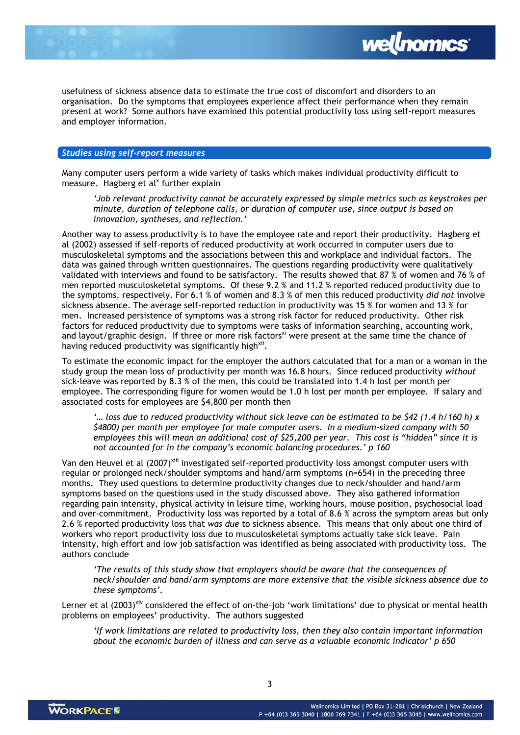

usefulness of sickness absence data to estimate the true cost of discomfort and disorders to an organisation. Do the symptoms that employees experience affect their performance when they remain present at work? Some authors have examined this potential productivity loss using self-report measures and employer information.

### Studies using self-report measures

Many computer users perform a wide variety of tasks which makes individual productivity difficult to measure. Hagberg et al<sup>x</sup> further explain

'Job relevant productivity cannot be accurately expressed by simple metrics such as keystrokes per minute, duration of telephone calls, or duration of computer use, since output is based on innovation, syntheses, and reflection.'

Another way to assess productivity is to have the employee rate and report their productivity. Hagberg et al (2002) assessed if self-reports of reduced productivity at work occurred in computer users due to musculoskeletal symptoms and the associations between this and workplace and individual factors. The data was gained through written questionnaires. The questions regarding productivity were qualitatively validated with interviews and found to be satisfactory. The results showed that 87 % of women and 76 % of men reported musculoskeletal symptoms. Of these 9.2 % and 11.2 % reported reduced productivity due to the symptoms, respectively. For 6.1 % of women and 8.3 % of men this reduced productivity did not involve sickness absence. The average self-reported reduction in productivity was 15 % for women and 13 % for men. Increased persistence of symptoms was a strong risk factor for reduced productivity. Other risk factors for reduced productivity due to symptoms were tasks of information searching, accounting work, and layout/graphic design. If three or more risk factors<sup>xi</sup> were present at the same time the chance of having reduced productivity was significantly high<sup>xii</sup>.

To estimate the economic impact for the employer the authors calculated that for a man or a woman in the study group the mean loss of productivity per month was 16.8 hours. Since reduced productivity without sick-leave was reported by 8.3 % of the men, this could be translated into 1.4 h lost per month per employee. The corresponding figure for women would be 1.0 h lost per month per employee. If salary and associated costs for employees are \$4,800 per month then

'... loss due to reduced productivity without sick leave can be estimated to be  $\frac{542}{1.4}$  h/160 h) x \$4800) per month per employee for male computer users. In a medium-sized company with 50 employees this will mean an additional cost of \$25,200 per year. This cost is "hidden" since it is not accounted for in the company's economic balancing procedures.' p 160

Van den Heuvel et al (2007)<sup>xiii</sup> investigated self-reported productivity loss amongst computer users with regular or prolonged neck/shoulder symptoms and hand/arm symptoms (n=654) in the preceding three months. They used questions to determine productivity changes due to neck/shoulder and hand/arm symptoms based on the questions used in the study discussed above. They also gathered information regarding pain intensity, physical activity in leisure time, working hours, mouse position, psychosocial load and over-commitment. Productivity loss was reported by a total of 8.6 % across the symptom areas but only 2.6 % reported productivity loss that was due to sickness absence. This means that only about one third of workers who report productivity loss due to musculoskeletal symptoms actually take sick leave. Pain intensity, high effort and low job satisfaction was identified as being associated with productivity loss. The authors conclude

'The results of this study show that employers should be aware that the consequences of neck/shoulder and hand/arm symptoms are more extensive that the visible sickness absence due to these symptoms'.

Lerner et al (2003)<sup>xiv</sup> considered the effect of on-the-job 'work limitations' due to physical or mental health problems on employees' productivity. The authors suggested

'If work limitations are related to productivity loss, then they also contain important information about the economic burden of illness and can serve as a valuable economic indicator' p 650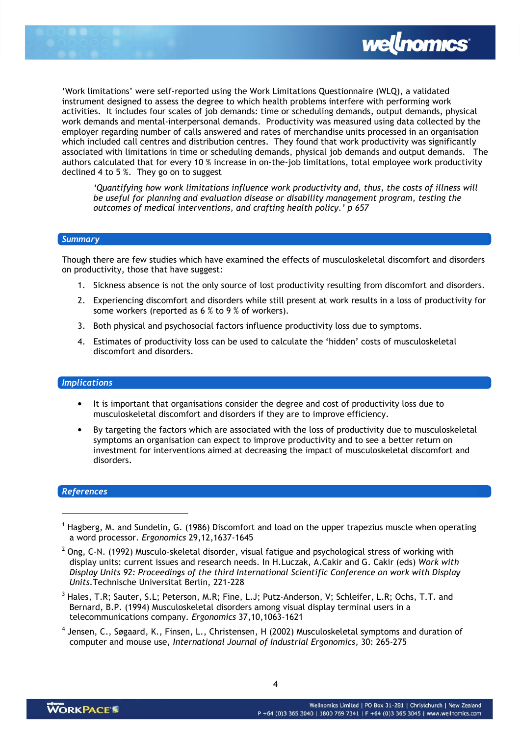



'Work limitations' were self-reported using the Work Limitations Questionnaire (WLQ), a validated instrument designed to assess the degree to which health problems interfere with performing work activities. It includes four scales of job demands: time or scheduling demands, output demands, physical work demands and mental-interpersonal demands. Productivity was measured using data collected by the employer regarding number of calls answered and rates of merchandise units processed in an organisation which included call centres and distribution centres. They found that work productivity was significantly associated with limitations in time or scheduling demands, physical job demands and output demands. The authors calculated that for every 10 % increase in on-the-job limitations, total employee work productivity declined 4 to 5 %. They go on to suggest

'Quantifying how work limitations influence work productivity and, thus, the costs of illness will be useful for planning and evaluation disease or disability management program, testing the outcomes of medical interventions, and crafting health policy.' p 657

#### **Summary**

Though there are few studies which have examined the effects of musculoskeletal discomfort and disorders on productivity, those that have suggest:

- 1. Sickness absence is not the only source of lost productivity resulting from discomfort and disorders.
- 2. Experiencing discomfort and disorders while still present at work results in a loss of productivity for some workers (reported as 6 % to 9 % of workers).
- 3. Both physical and psychosocial factors influence productivity loss due to symptoms.
- 4. Estimates of productivity loss can be used to calculate the 'hidden' costs of musculoskeletal discomfort and disorders.

# Implications

- It is important that organisations consider the degree and cost of productivity loss due to musculoskeletal discomfort and disorders if they are to improve efficiency.
- By targeting the factors which are associated with the loss of productivity due to musculoskeletal symptoms an organisation can expect to improve productivity and to see a better return on investment for interventions aimed at decreasing the impact of musculoskeletal discomfort and disorders.

# References

l

<sup>4</sup> Jensen, C., Søgaard, K., Finsen, L., Christensen, H (2002) Musculoskeletal symptoms and duration of computer and mouse use, International Journal of Industrial Ergonomics, 30: 265-275

<sup>&</sup>lt;sup>1</sup> Hagberg, M. and Sundelin, G. (1986) Discomfort and load on the upper trapezius muscle when operating a word processor. Ergonomics 29,12,1637-1645

 $^2$  Ong, C-N. (1992) Musculo-skeletal disorder, visual fatigue and psychological stress of working with display units: current issues and research needs. In H.Luczak, A.Cakir and G. Cakir (eds) Work with Display Units 92: Proceedings of the third International Scientific Conference on work with Display Units.Technische Universitat Berlin, 221-228

 $^3$  Hales, T.R; Sauter, S.L; Peterson, M.R; Fine, L.J; Putz-Anderson, V; Schleifer, L.R; Ochs, T.T. and Bernard, B.P. (1994) Musculoskeletal disorders among visual display terminal users in a telecommunications company. Ergonomics 37,10,1063-1621